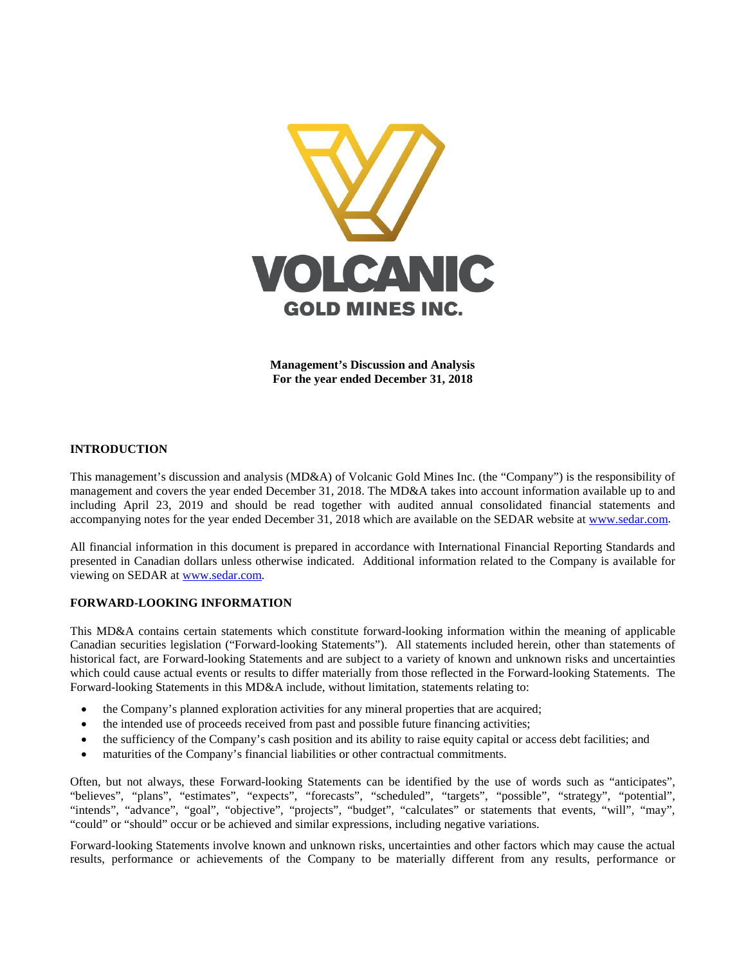

**Management's Discussion and Analysis For the year ended December 31, 2018**

# **INTRODUCTION**

This management's discussion and analysis (MD&A) of Volcanic Gold Mines Inc. (the "Company") is the responsibility of management and covers the year ended December 31, 2018. The MD&A takes into account information available up to and including April 23, 2019 and should be read together with audited annual consolidated financial statements and accompanying notes for the year ended December 31, 2018 which are available on the SEDAR website at [www.sedar.com.](http://www.sedar.com/)

All financial information in this document is prepared in accordance with International Financial Reporting Standards and presented in Canadian dollars unless otherwise indicated. Additional information related to the Company is available for viewing on SEDAR at [www.sedar.com.](http://www.sedar.com/)

# **FORWARD-LOOKING INFORMATION**

This MD&A contains certain statements which constitute forward-looking information within the meaning of applicable Canadian securities legislation ("Forward-looking Statements"). All statements included herein, other than statements of historical fact, are Forward-looking Statements and are subject to a variety of known and unknown risks and uncertainties which could cause actual events or results to differ materially from those reflected in the Forward-looking Statements. The Forward-looking Statements in this MD&A include, without limitation, statements relating to:

- the Company's planned exploration activities for any mineral properties that are acquired;
- the intended use of proceeds received from past and possible future financing activities;
- the sufficiency of the Company's cash position and its ability to raise equity capital or access debt facilities; and
- maturities of the Company's financial liabilities or other contractual commitments.

Often, but not always, these Forward-looking Statements can be identified by the use of words such as "anticipates", "believes", "plans", "estimates", "expects", "forecasts", "scheduled", "targets", "possible", "strategy", "potential", "intends", "advance", "goal", "objective", "projects", "budget", "calculates" or statements that events, "will", "may", "could" or "should" occur or be achieved and similar expressions, including negative variations.

Forward-looking Statements involve known and unknown risks, uncertainties and other factors which may cause the actual results, performance or achievements of the Company to be materially different from any results, performance or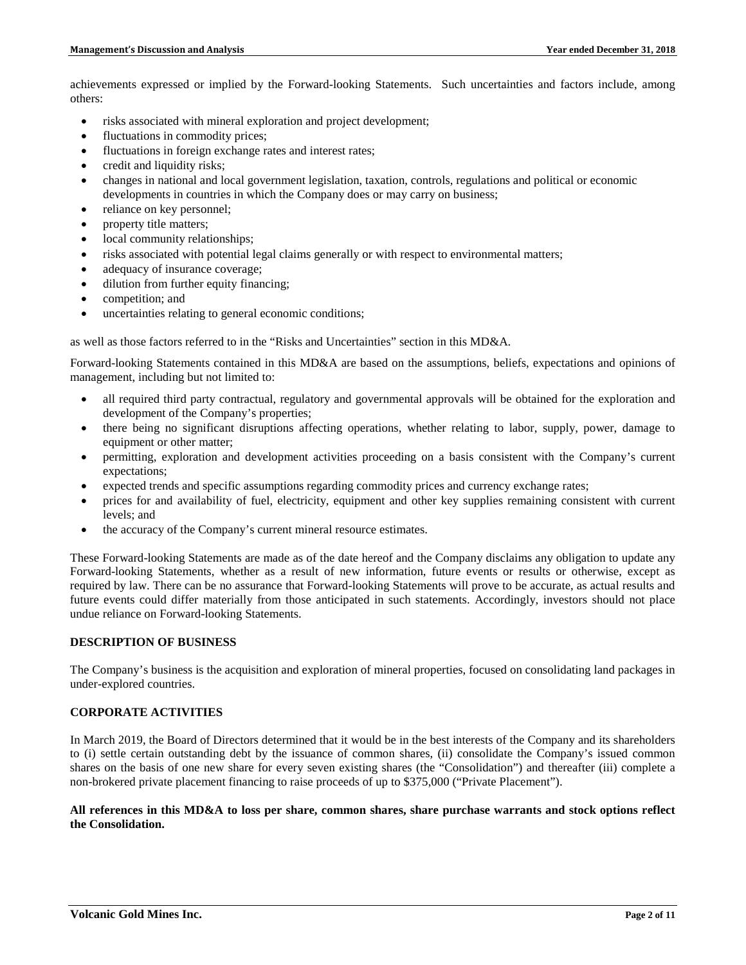achievements expressed or implied by the Forward-looking Statements. Such uncertainties and factors include, among others:

- risks associated with mineral exploration and project development;
- fluctuations in commodity prices;
- fluctuations in foreign exchange rates and interest rates;
- credit and liquidity risks;
- changes in national and local government legislation, taxation, controls, regulations and political or economic developments in countries in which the Company does or may carry on business;
- reliance on key personnel;
- property title matters;
- local community relationships;
- risks associated with potential legal claims generally or with respect to environmental matters;
- adequacy of insurance coverage;
- dilution from further equity financing;
- competition; and
- uncertainties relating to general economic conditions;

as well as those factors referred to in the "Risks and Uncertainties" section in this MD&A.

Forward-looking Statements contained in this MD&A are based on the assumptions, beliefs, expectations and opinions of management, including but not limited to:

- all required third party contractual, regulatory and governmental approvals will be obtained for the exploration and development of the Company's properties;
- there being no significant disruptions affecting operations, whether relating to labor, supply, power, damage to equipment or other matter;
- permitting, exploration and development activities proceeding on a basis consistent with the Company's current expectations;
- expected trends and specific assumptions regarding commodity prices and currency exchange rates;
- prices for and availability of fuel, electricity, equipment and other key supplies remaining consistent with current levels; and
- the accuracy of the Company's current mineral resource estimates.

These Forward-looking Statements are made as of the date hereof and the Company disclaims any obligation to update any Forward-looking Statements, whether as a result of new information, future events or results or otherwise, except as required by law. There can be no assurance that Forward-looking Statements will prove to be accurate, as actual results and future events could differ materially from those anticipated in such statements. Accordingly, investors should not place undue reliance on Forward-looking Statements.

### **DESCRIPTION OF BUSINESS**

The Company's business is the acquisition and exploration of mineral properties, focused on consolidating land packages in under-explored countries.

# **CORPORATE ACTIVITIES**

In March 2019, the Board of Directors determined that it would be in the best interests of the Company and its shareholders to (i) settle certain outstanding debt by the issuance of common shares, (ii) consolidate the Company's issued common shares on the basis of one new share for every seven existing shares (the "Consolidation") and thereafter (iii) complete a non-brokered private placement financing to raise proceeds of up to \$375,000 ("Private Placement").

#### **All references in this MD&A to loss per share, common shares, share purchase warrants and stock options reflect the Consolidation.**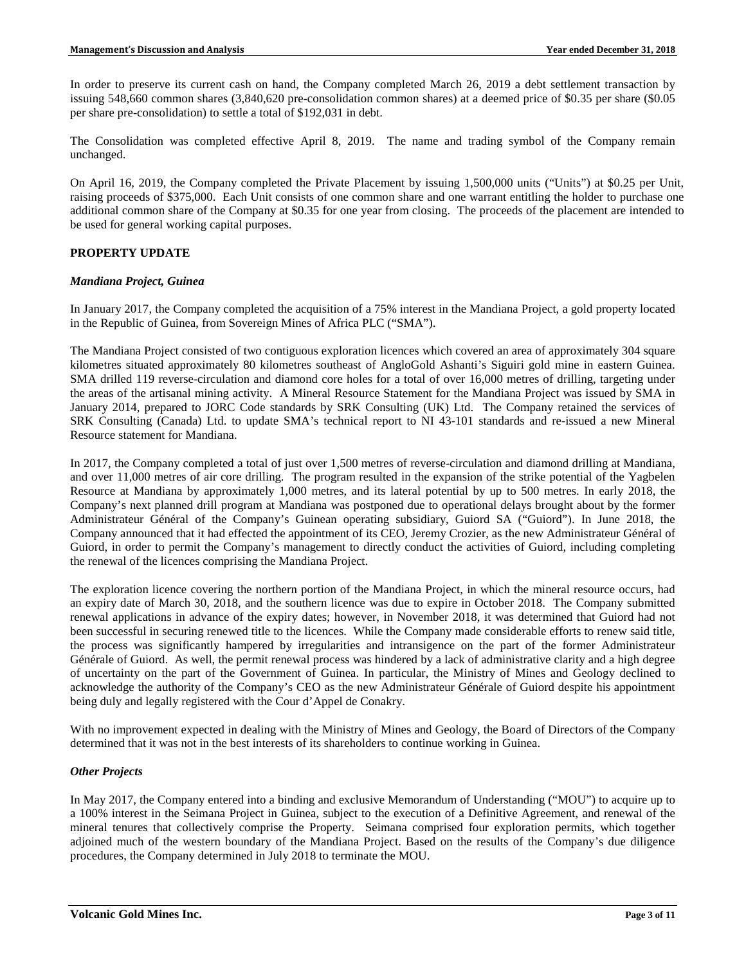In order to preserve its current cash on hand, the Company completed March 26, 2019 a debt settlement transaction by issuing 548,660 common shares (3,840,620 pre-consolidation common shares) at a deemed price of \$0.35 per share (\$0.05 per share pre-consolidation) to settle a total of \$192,031 in debt.

The Consolidation was completed effective April 8, 2019. The name and trading symbol of the Company remain unchanged.

On April 16, 2019, the Company completed the Private Placement by issuing 1,500,000 units ("Units") at \$0.25 per Unit, raising proceeds of \$375,000. Each Unit consists of one common share and one warrant entitling the holder to purchase one additional common share of the Company at \$0.35 for one year from closing. The proceeds of the placement are intended to be used for general working capital purposes.

# **PROPERTY UPDATE**

# *Mandiana Project, Guinea*

In January 2017, the Company completed the acquisition of a 75% interest in the Mandiana Project, a gold property located in the Republic of Guinea, from Sovereign Mines of Africa PLC ("SMA").

The Mandiana Project consisted of two contiguous exploration licences which covered an area of approximately 304 square kilometres situated approximately 80 kilometres southeast of AngloGold Ashanti's Siguiri gold mine in eastern Guinea. SMA drilled 119 reverse-circulation and diamond core holes for a total of over 16,000 metres of drilling, targeting under the areas of the artisanal mining activity. A Mineral Resource Statement for the Mandiana Project was issued by SMA in January 2014, prepared to JORC Code standards by SRK Consulting (UK) Ltd. The Company retained the services of SRK Consulting (Canada) Ltd. to update SMA's technical report to NI 43-101 standards and re-issued a new Mineral Resource statement for Mandiana.

In 2017, the Company completed a total of just over 1,500 metres of reverse-circulation and diamond drilling at Mandiana, and over 11,000 metres of air core drilling. The program resulted in the expansion of the strike potential of the Yagbelen Resource at Mandiana by approximately 1,000 metres, and its lateral potential by up to 500 metres. In early 2018, the Company's next planned drill program at Mandiana was postponed due to operational delays brought about by the former Administrateur Général of the Company's Guinean operating subsidiary, Guiord SA ("Guiord"). In June 2018, the Company announced that it had effected the appointment of its CEO, Jeremy Crozier, as the new Administrateur Général of Guiord, in order to permit the Company's management to directly conduct the activities of Guiord, including completing the renewal of the licences comprising the Mandiana Project.

The exploration licence covering the northern portion of the Mandiana Project, in which the mineral resource occurs, had an expiry date of March 30, 2018, and the southern licence was due to expire in October 2018. The Company submitted renewal applications in advance of the expiry dates; however, in November 2018, it was determined that Guiord had not been successful in securing renewed title to the licences. While the Company made considerable efforts to renew said title, the process was significantly hampered by irregularities and intransigence on the part of the former Administrateur Générale of Guiord. As well, the permit renewal process was hindered by a lack of administrative clarity and a high degree of uncertainty on the part of the Government of Guinea. In particular, the Ministry of Mines and Geology declined to acknowledge the authority of the Company's CEO as the new Administrateur Générale of Guiord despite his appointment being duly and legally registered with the Cour d'Appel de Conakry.

With no improvement expected in dealing with the Ministry of Mines and Geology, the Board of Directors of the Company determined that it was not in the best interests of its shareholders to continue working in Guinea.

# *Other Projects*

In May 2017, the Company entered into a binding and exclusive Memorandum of Understanding ("MOU") to acquire up to a 100% interest in the Seimana Project in Guinea, subject to the execution of a Definitive Agreement, and renewal of the mineral tenures that collectively comprise the Property. Seimana comprised four exploration permits, which together adjoined much of the western boundary of the Mandiana Project. Based on the results of the Company's due diligence procedures, the Company determined in July 2018 to terminate the MOU.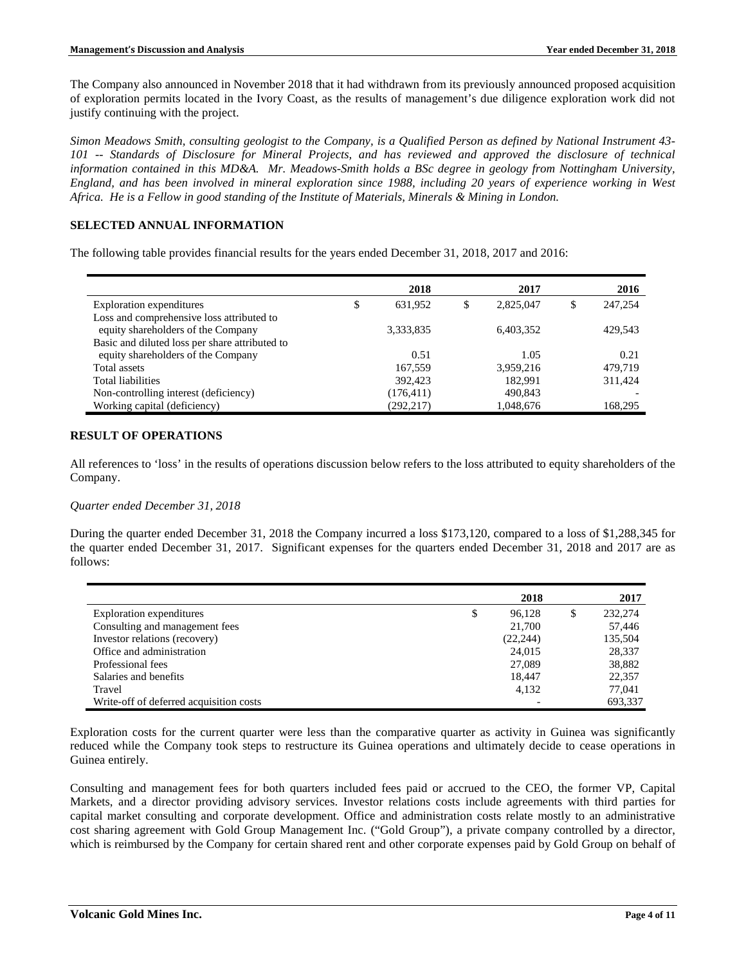The Company also announced in November 2018 that it had withdrawn from its previously announced proposed acquisition of exploration permits located in the Ivory Coast, as the results of management's due diligence exploration work did not justify continuing with the project.

*Simon Meadows Smith, consulting geologist to the Company, is a Qualified Person as defined by National Instrument 43- 101 -- Standards of Disclosure for Mineral Projects, and has reviewed and approved the disclosure of technical information contained in this MD&A. Mr. Meadows-Smith holds a BSc degree in geology from Nottingham University, England, and has been involved in mineral exploration since 1988, including 20 years of experience working in West Africa. He is a Fellow in good standing of the Institute of Materials, Minerals & Mining in London.*

# **SELECTED ANNUAL INFORMATION**

The following table provides financial results for the years ended December 31, 2018, 2017 and 2016:

|                                                | 2018          | 2017      |     | 2016    |
|------------------------------------------------|---------------|-----------|-----|---------|
| Exploration expenditures                       | \$<br>631.952 | 2,825,047 | ۵D. | 247,254 |
| Loss and comprehensive loss attributed to      |               |           |     |         |
| equity shareholders of the Company             | 3,333,835     | 6,403,352 |     | 429.543 |
| Basic and diluted loss per share attributed to |               |           |     |         |
| equity shareholders of the Company             | 0.51          | 1.05      |     | 0.21    |
| Total assets                                   | 167.559       | 3,959,216 |     | 479.719 |
| Total liabilities                              | 392.423       | 182.991   |     | 311,424 |
| Non-controlling interest (deficiency)          | (176, 411)    | 490.843   |     |         |
| Working capital (deficiency)                   | (292, 217)    | 1,048,676 |     | 168.295 |

# **RESULT OF OPERATIONS**

All references to 'loss' in the results of operations discussion below refers to the loss attributed to equity shareholders of the Company.

# *Quarter ended December 31, 2018*

During the quarter ended December 31, 2018 the Company incurred a loss \$173,120, compared to a loss of \$1,288,345 for the quarter ended December 31, 2017. Significant expenses for the quarters ended December 31, 2018 and 2017 are as follows:

|                                         | 2018         | 2017          |
|-----------------------------------------|--------------|---------------|
| Exploration expenditures                | \$<br>96.128 | \$<br>232,274 |
| Consulting and management fees          | 21,700       | 57.446        |
| Investor relations (recovery)           | (22, 244)    | 135,504       |
| Office and administration               | 24,015       | 28,337        |
| Professional fees                       | 27,089       | 38,882        |
| Salaries and benefits                   | 18,447       | 22,357        |
| Travel                                  | 4,132        | 77.041        |
| Write-off of deferred acquisition costs |              | 693.337       |

Exploration costs for the current quarter were less than the comparative quarter as activity in Guinea was significantly reduced while the Company took steps to restructure its Guinea operations and ultimately decide to cease operations in Guinea entirely.

Consulting and management fees for both quarters included fees paid or accrued to the CEO, the former VP, Capital Markets, and a director providing advisory services. Investor relations costs include agreements with third parties for capital market consulting and corporate development. Office and administration costs relate mostly to an administrative cost sharing agreement with Gold Group Management Inc. ("Gold Group"), a private company controlled by a director, which is reimbursed by the Company for certain shared rent and other corporate expenses paid by Gold Group on behalf of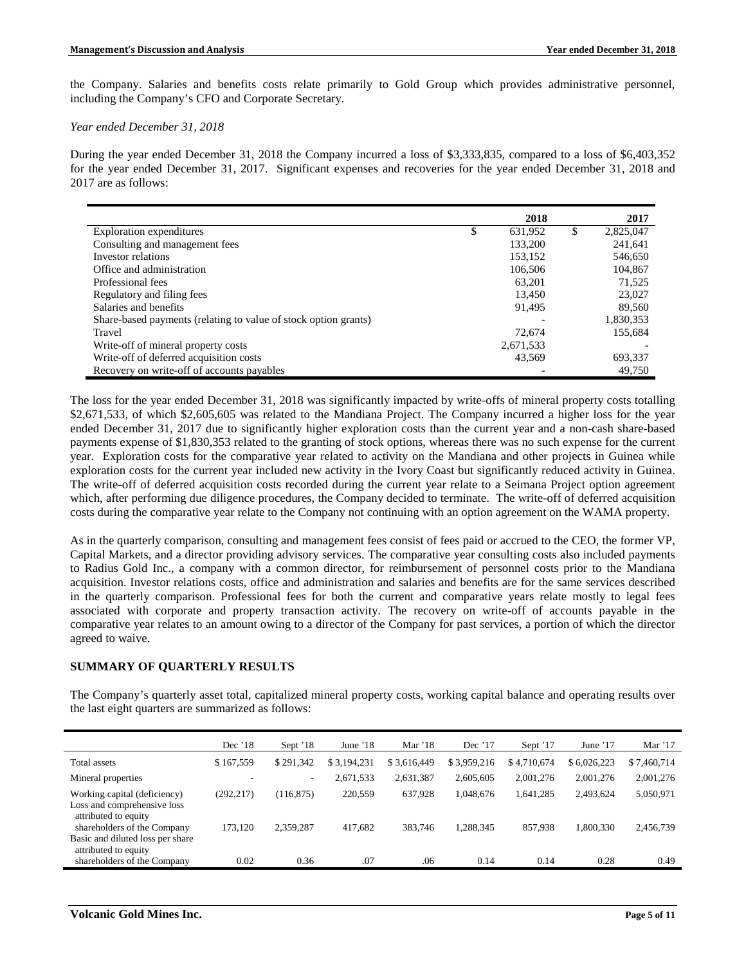the Company. Salaries and benefits costs relate primarily to Gold Group which provides administrative personnel, including the Company's CFO and Corporate Secretary.

### *Year ended December 31, 2018*

During the year ended December 31, 2018 the Company incurred a loss of \$3,333,835, compared to a loss of \$6,403,352 for the year ended December 31, 2017. Significant expenses and recoveries for the year ended December 31, 2018 and 2017 are as follows:

|                                                                 | 2018          | 2017            |
|-----------------------------------------------------------------|---------------|-----------------|
| Exploration expenditures                                        | \$<br>631,952 | \$<br>2,825,047 |
| Consulting and management fees                                  | 133,200       | 241,641         |
| Investor relations                                              | 153,152       | 546,650         |
| Office and administration                                       | 106,506       | 104,867         |
| Professional fees                                               | 63.201        | 71,525          |
| Regulatory and filing fees                                      | 13.450        | 23,027          |
| Salaries and benefits                                           | 91,495        | 89,560          |
| Share-based payments (relating to value of stock option grants) |               | 1,830,353       |
| Travel                                                          | 72,674        | 155,684         |
| Write-off of mineral property costs                             | 2,671,533     |                 |
| Write-off of deferred acquisition costs                         | 43,569        | 693,337         |
| Recovery on write-off of accounts payables                      |               | 49,750          |

The loss for the year ended December 31, 2018 was significantly impacted by write-offs of mineral property costs totalling \$2,671,533, of which \$2,605,605 was related to the Mandiana Project. The Company incurred a higher loss for the year ended December 31, 2017 due to significantly higher exploration costs than the current year and a non-cash share-based payments expense of \$1,830,353 related to the granting of stock options, whereas there was no such expense for the current year. Exploration costs for the comparative year related to activity on the Mandiana and other projects in Guinea while exploration costs for the current year included new activity in the Ivory Coast but significantly reduced activity in Guinea. The write-off of deferred acquisition costs recorded during the current year relate to a Seimana Project option agreement which, after performing due diligence procedures, the Company decided to terminate. The write-off of deferred acquisition costs during the comparative year relate to the Company not continuing with an option agreement on the WAMA property.

As in the quarterly comparison, consulting and management fees consist of fees paid or accrued to the CEO, the former VP, Capital Markets, and a director providing advisory services. The comparative year consulting costs also included payments to Radius Gold Inc., a company with a common director, for reimbursement of personnel costs prior to the Mandiana acquisition. Investor relations costs, office and administration and salaries and benefits are for the same services described in the quarterly comparison. Professional fees for both the current and comparative years relate mostly to legal fees associated with corporate and property transaction activity. The recovery on write-off of accounts payable in the comparative year relates to an amount owing to a director of the Company for past services, a portion of which the director agreed to waive.

# **SUMMARY OF QUARTERLY RESULTS**

The Company's quarterly asset total, capitalized mineral property costs, working capital balance and operating results over the last eight quarters are summarized as follows:

|                                                                                         | Dec $'18$  | Sept '18                 | June $18$   | Mar '18     | Dec $'17$   | Sept '17    | June $'17$  | Mar $'17$   |
|-----------------------------------------------------------------------------------------|------------|--------------------------|-------------|-------------|-------------|-------------|-------------|-------------|
| Total assets                                                                            | \$167,559  | \$291,342                | \$3,194,231 | \$3,616,449 | \$3,959,216 | \$4,710,674 | \$6,026,223 | \$7,460,714 |
| Mineral properties                                                                      | ٠          | $\overline{\phantom{a}}$ | 2,671,533   | 2,631,387   | 2,605,605   | 2.001.276   | 2.001.276   | 2,001,276   |
| Working capital (deficiency)<br>Loss and comprehensive loss<br>attributed to equity     | (292, 217) | (116, 875)               | 220,559     | 637,928     | 1,048,676   | 1,641,285   | 2,493,624   | 5,050,971   |
| shareholders of the Company<br>Basic and diluted loss per share<br>attributed to equity | 173.120    | 2,359,287                | 417.682     | 383,746     | 1,288,345   | 857,938     | 1.800.330   | 2,456,739   |
| shareholders of the Company                                                             | 0.02       | 0.36                     | .07         | .06         | 0.14        | 0.14        | 0.28        | 0.49        |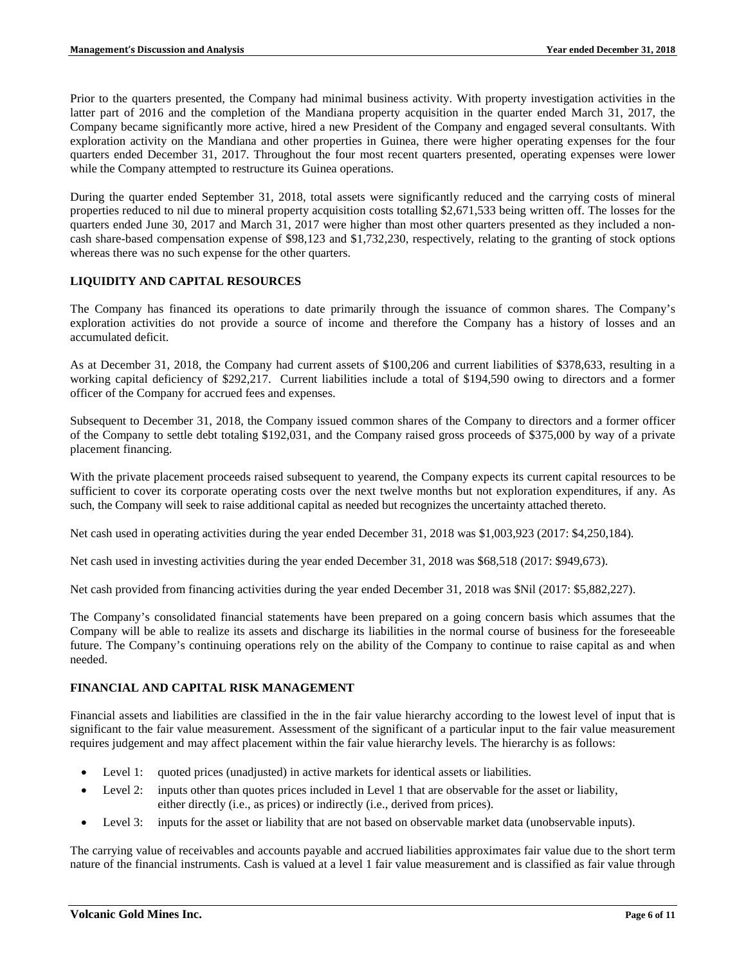Prior to the quarters presented, the Company had minimal business activity. With property investigation activities in the latter part of 2016 and the completion of the Mandiana property acquisition in the quarter ended March 31, 2017, the Company became significantly more active, hired a new President of the Company and engaged several consultants. With exploration activity on the Mandiana and other properties in Guinea, there were higher operating expenses for the four quarters ended December 31, 2017. Throughout the four most recent quarters presented, operating expenses were lower while the Company attempted to restructure its Guinea operations.

During the quarter ended September 31, 2018, total assets were significantly reduced and the carrying costs of mineral properties reduced to nil due to mineral property acquisition costs totalling \$2,671,533 being written off. The losses for the quarters ended June 30, 2017 and March 31, 2017 were higher than most other quarters presented as they included a noncash share-based compensation expense of \$98,123 and \$1,732,230, respectively, relating to the granting of stock options whereas there was no such expense for the other quarters.

# **LIQUIDITY AND CAPITAL RESOURCES**

The Company has financed its operations to date primarily through the issuance of common shares. The Company's exploration activities do not provide a source of income and therefore the Company has a history of losses and an accumulated deficit.

As at December 31, 2018, the Company had current assets of \$100,206 and current liabilities of \$378,633, resulting in a working capital deficiency of \$292,217. Current liabilities include a total of \$194,590 owing to directors and a former officer of the Company for accrued fees and expenses.

Subsequent to December 31, 2018, the Company issued common shares of the Company to directors and a former officer of the Company to settle debt totaling \$192,031, and the Company raised gross proceeds of \$375,000 by way of a private placement financing.

With the private placement proceeds raised subsequent to yearend, the Company expects its current capital resources to be sufficient to cover its corporate operating costs over the next twelve months but not exploration expenditures, if any. As such, the Company will seek to raise additional capital as needed but recognizes the uncertainty attached thereto.

Net cash used in operating activities during the year ended December 31, 2018 was \$1,003,923 (2017: \$4,250,184).

Net cash used in investing activities during the year ended December 31, 2018 was \$68,518 (2017: \$949,673).

Net cash provided from financing activities during the year ended December 31, 2018 was \$Nil (2017: \$5,882,227).

The Company's consolidated financial statements have been prepared on a going concern basis which assumes that the Company will be able to realize its assets and discharge its liabilities in the normal course of business for the foreseeable future. The Company's continuing operations rely on the ability of the Company to continue to raise capital as and when needed.

# **FINANCIAL AND CAPITAL RISK MANAGEMENT**

Financial assets and liabilities are classified in the in the fair value hierarchy according to the lowest level of input that is significant to the fair value measurement. Assessment of the significant of a particular input to the fair value measurement requires judgement and may affect placement within the fair value hierarchy levels. The hierarchy is as follows:

- Level 1: quoted prices (unadjusted) in active markets for identical assets or liabilities.
- Level 2: inputs other than quotes prices included in Level 1 that are observable for the asset or liability, either directly (i.e., as prices) or indirectly (i.e., derived from prices).
- Level 3: inputs for the asset or liability that are not based on observable market data (unobservable inputs).

The carrying value of receivables and accounts payable and accrued liabilities approximates fair value due to the short term nature of the financial instruments. Cash is valued at a level 1 fair value measurement and is classified as fair value through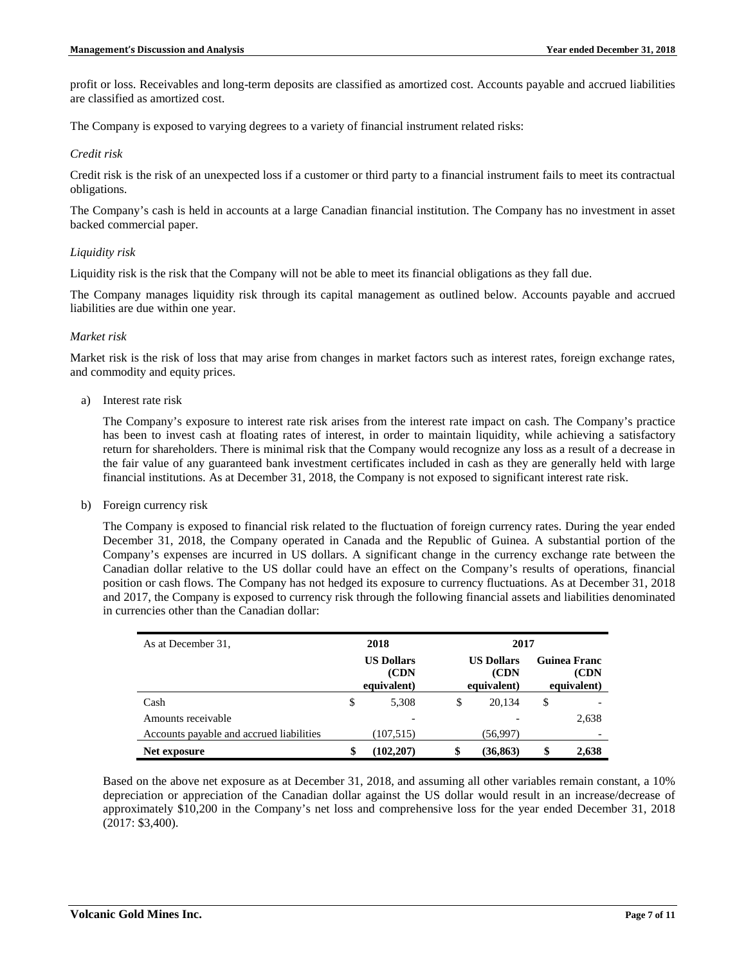profit or loss. Receivables and long-term deposits are classified as amortized cost. Accounts payable and accrued liabilities are classified as amortized cost.

The Company is exposed to varying degrees to a variety of financial instrument related risks:

### *Credit risk*

Credit risk is the risk of an unexpected loss if a customer or third party to a financial instrument fails to meet its contractual obligations.

The Company's cash is held in accounts at a large Canadian financial institution. The Company has no investment in asset backed commercial paper.

# *Liquidity risk*

Liquidity risk is the risk that the Company will not be able to meet its financial obligations as they fall due.

The Company manages liquidity risk through its capital management as outlined below. Accounts payable and accrued liabilities are due within one year.

### *Market risk*

Market risk is the risk of loss that may arise from changes in market factors such as interest rates, foreign exchange rates, and commodity and equity prices.

a) Interest rate risk

The Company's exposure to interest rate risk arises from the interest rate impact on cash. The Company's practice has been to invest cash at floating rates of interest, in order to maintain liquidity, while achieving a satisfactory return for shareholders. There is minimal risk that the Company would recognize any loss as a result of a decrease in the fair value of any guaranteed bank investment certificates included in cash as they are generally held with large financial institutions. As at December 31, 2018, the Company is not exposed to significant interest rate risk.

b) Foreign currency risk

The Company is exposed to financial risk related to the fluctuation of foreign currency rates. During the year ended December 31, 2018, the Company operated in Canada and the Republic of Guinea. A substantial portion of the Company's expenses are incurred in US dollars. A significant change in the currency exchange rate between the Canadian dollar relative to the US dollar could have an effect on the Company's results of operations, financial position or cash flows. The Company has not hedged its exposure to currency fluctuations. As at December 31, 2018 and 2017, the Company is exposed to currency risk through the following financial assets and liabilities denominated in currencies other than the Canadian dollar:

| As at December 31,                       | 2018                                      | 2017                                      |                                             |       |  |
|------------------------------------------|-------------------------------------------|-------------------------------------------|---------------------------------------------|-------|--|
|                                          | <b>US Dollars</b><br>(CDN)<br>equivalent) | <b>US Dollars</b><br>(CDN)<br>equivalent) | <b>Guinea Franc</b><br>(CDN)<br>equivalent) |       |  |
| Cash                                     | \$<br>5,308                               | \$<br>20,134                              | \$                                          |       |  |
| Amounts receivable                       |                                           |                                           |                                             | 2,638 |  |
| Accounts payable and accrued liabilities | (107, 515)                                | (56,997)                                  |                                             |       |  |
| Net exposure                             | \$<br>(102.207)                           | \$<br>(36, 863)                           |                                             | 2,638 |  |

Based on the above net exposure as at December 31, 2018, and assuming all other variables remain constant, a 10% depreciation or appreciation of the Canadian dollar against the US dollar would result in an increase/decrease of approximately \$10,200 in the Company's net loss and comprehensive loss for the year ended December 31, 2018 (2017: \$3,400).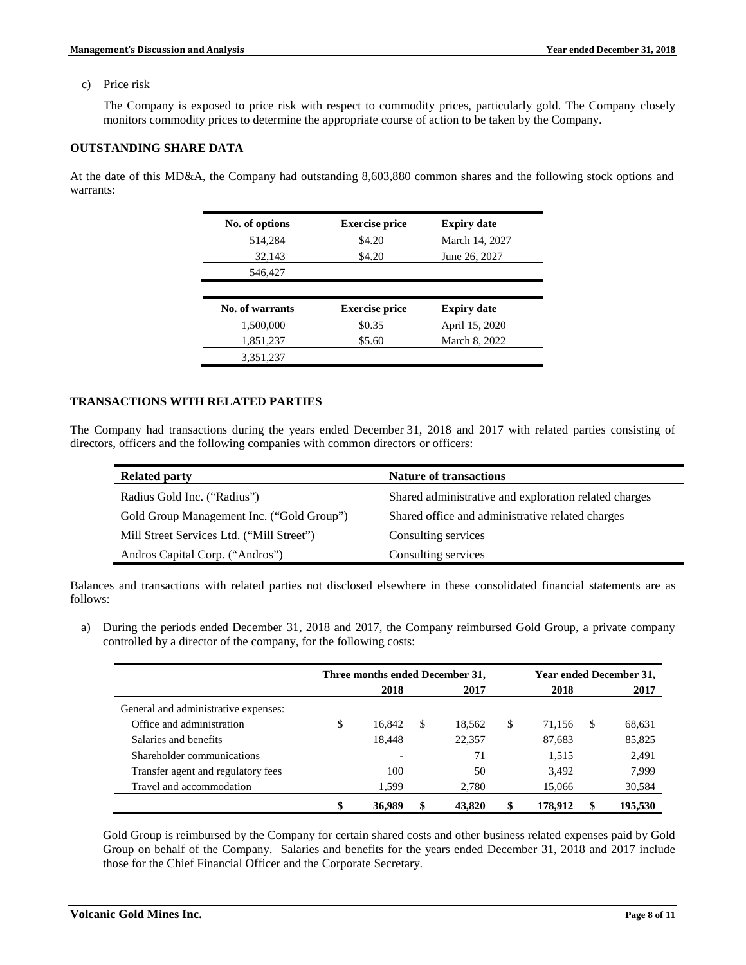c) Price risk

The Company is exposed to price risk with respect to commodity prices, particularly gold. The Company closely monitors commodity prices to determine the appropriate course of action to be taken by the Company.

# **OUTSTANDING SHARE DATA**

At the date of this MD&A, the Company had outstanding 8,603,880 common shares and the following stock options and warrants:

| No. of options  | <b>Exercise price</b> | <b>Expiry date</b> |
|-----------------|-----------------------|--------------------|
| 514,284         | \$4.20                | March 14, 2027     |
| 32,143          | \$4.20                | June 26, 2027      |
| 546,427         |                       |                    |
|                 |                       |                    |
|                 |                       |                    |
| No. of warrants | <b>Exercise price</b> | <b>Expiry date</b> |
| 1,500,000       | \$0.35                | April 15, 2020     |
| 1,851,237       | \$5.60                | March 8, 2022      |

# **TRANSACTIONS WITH RELATED PARTIES**

The Company had transactions during the years ended December 31, 2018 and 2017 with related parties consisting of directors, officers and the following companies with common directors or officers:

| <b>Related party</b>                      | <b>Nature of transactions</b>                         |
|-------------------------------------------|-------------------------------------------------------|
| Radius Gold Inc. ("Radius")               | Shared administrative and exploration related charges |
| Gold Group Management Inc. ("Gold Group") | Shared office and administrative related charges      |
| Mill Street Services Ltd. ("Mill Street") | Consulting services                                   |
| Andros Capital Corp. ("Andros")           | Consulting services                                   |

Balances and transactions with related parties not disclosed elsewhere in these consolidated financial statements are as follows:

a) During the periods ended December 31, 2018 and 2017, the Company reimbursed Gold Group, a private company controlled by a director of the company, for the following costs:

|                                      | Three months ended December 31, |    |        | Year ended December 31, |         |    |         |
|--------------------------------------|---------------------------------|----|--------|-------------------------|---------|----|---------|
|                                      | 2018                            |    | 2017   |                         | 2018    |    | 2017    |
| General and administrative expenses: |                                 |    |        |                         |         |    |         |
| Office and administration            | \$<br>16.842                    | S  | 18.562 | S                       | 71.156  | -S | 68,631  |
| Salaries and benefits                | 18,448                          |    | 22,357 |                         | 87,683  |    | 85,825  |
| Shareholder communications           |                                 |    | 71     |                         | 1.515   |    | 2,491   |
| Transfer agent and regulatory fees   | 100                             |    | 50     |                         | 3,492   |    | 7,999   |
| Travel and accommodation             | 1,599                           |    | 2.780  |                         | 15,066  |    | 30,584  |
|                                      | \$<br>36,989                    | \$ | 43,820 | \$                      | 178.912 |    | 195,530 |

Gold Group is reimbursed by the Company for certain shared costs and other business related expenses paid by Gold Group on behalf of the Company. Salaries and benefits for the years ended December 31, 2018 and 2017 include those for the Chief Financial Officer and the Corporate Secretary.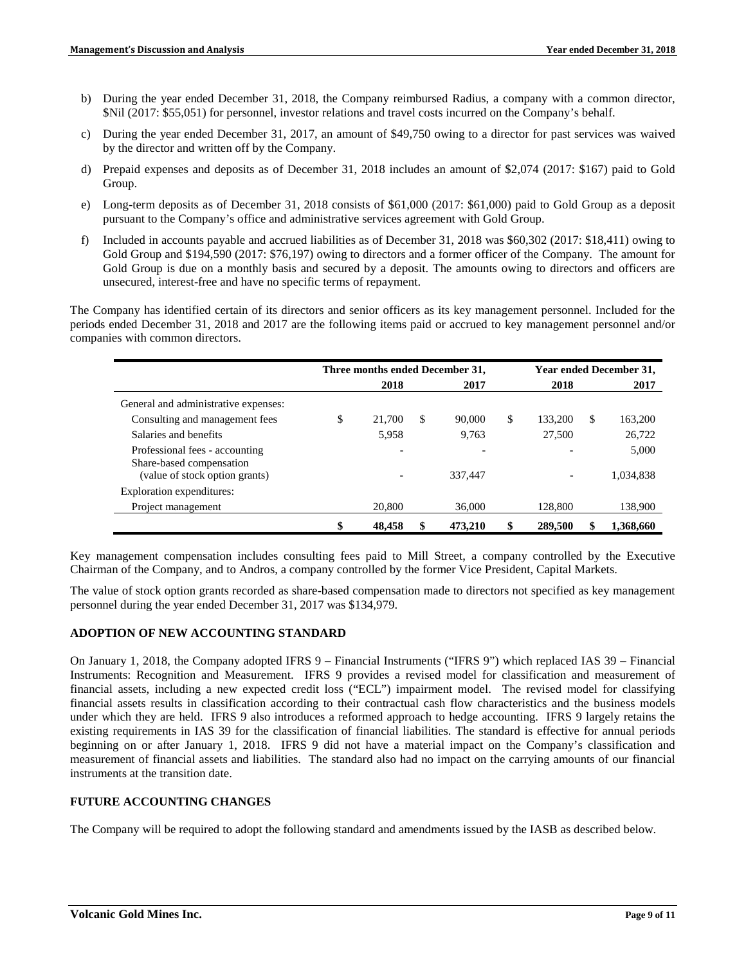- b) During the year ended December 31, 2018, the Company reimbursed Radius, a company with a common director, \$Nil (2017: \$55,051) for personnel, investor relations and travel costs incurred on the Company's behalf.
- c) During the year ended December 31, 2017, an amount of \$49,750 owing to a director for past services was waived by the director and written off by the Company.
- d) Prepaid expenses and deposits as of December 31, 2018 includes an amount of \$2,074 (2017: \$167) paid to Gold Group.
- e) Long-term deposits as of December 31, 2018 consists of \$61,000 (2017: \$61,000) paid to Gold Group as a deposit pursuant to the Company's office and administrative services agreement with Gold Group.
- f) Included in accounts payable and accrued liabilities as of December 31, 2018 was \$60,302 (2017: \$18,411) owing to Gold Group and \$194,590 (2017: \$76,197) owing to directors and a former officer of the Company. The amount for Gold Group is due on a monthly basis and secured by a deposit. The amounts owing to directors and officers are unsecured, interest-free and have no specific terms of repayment.

The Company has identified certain of its directors and senior officers as its key management personnel. Included for the periods ended December 31, 2018 and 2017 are the following items paid or accrued to key management personnel and/or companies with common directors.

|                                                            | Three months ended December 31, |    |         | Year ended December 31, |     |           |
|------------------------------------------------------------|---------------------------------|----|---------|-------------------------|-----|-----------|
|                                                            | 2018                            |    | 2017    | 2018                    |     | 2017      |
| General and administrative expenses:                       |                                 |    |         |                         |     |           |
| Consulting and management fees                             | \$<br>21,700                    | S  | 90,000  | \$<br>133,200           | \$. | 163,200   |
| Salaries and benefits                                      | 5.958                           |    | 9.763   | 27,500                  |     | 26,722    |
| Professional fees - accounting<br>Share-based compensation |                                 |    |         |                         |     | 5,000     |
| (value of stock option grants)                             |                                 |    | 337,447 |                         |     | 1,034,838 |
| Exploration expenditures:                                  |                                 |    |         |                         |     |           |
| Project management                                         | 20,800                          |    | 36,000  | 128,800                 |     | 138,900   |
|                                                            | \$<br>48,458                    | \$ | 473.210 | 289,500                 |     | 1.368.660 |

Key management compensation includes consulting fees paid to Mill Street, a company controlled by the Executive Chairman of the Company, and to Andros, a company controlled by the former Vice President, Capital Markets.

The value of stock option grants recorded as share-based compensation made to directors not specified as key management personnel during the year ended December 31, 2017 was \$134,979.

# **ADOPTION OF NEW ACCOUNTING STANDARD**

On January 1, 2018, the Company adopted IFRS 9 – Financial Instruments ("IFRS 9") which replaced IAS 39 – Financial Instruments: Recognition and Measurement. IFRS 9 provides a revised model for classification and measurement of financial assets, including a new expected credit loss ("ECL") impairment model. The revised model for classifying financial assets results in classification according to their contractual cash flow characteristics and the business models under which they are held. IFRS 9 also introduces a reformed approach to hedge accounting. IFRS 9 largely retains the existing requirements in IAS 39 for the classification of financial liabilities. The standard is effective for annual periods beginning on or after January 1, 2018. IFRS 9 did not have a material impact on the Company's classification and measurement of financial assets and liabilities. The standard also had no impact on the carrying amounts of our financial instruments at the transition date.

# **FUTURE ACCOUNTING CHANGES**

The Company will be required to adopt the following standard and amendments issued by the IASB as described below.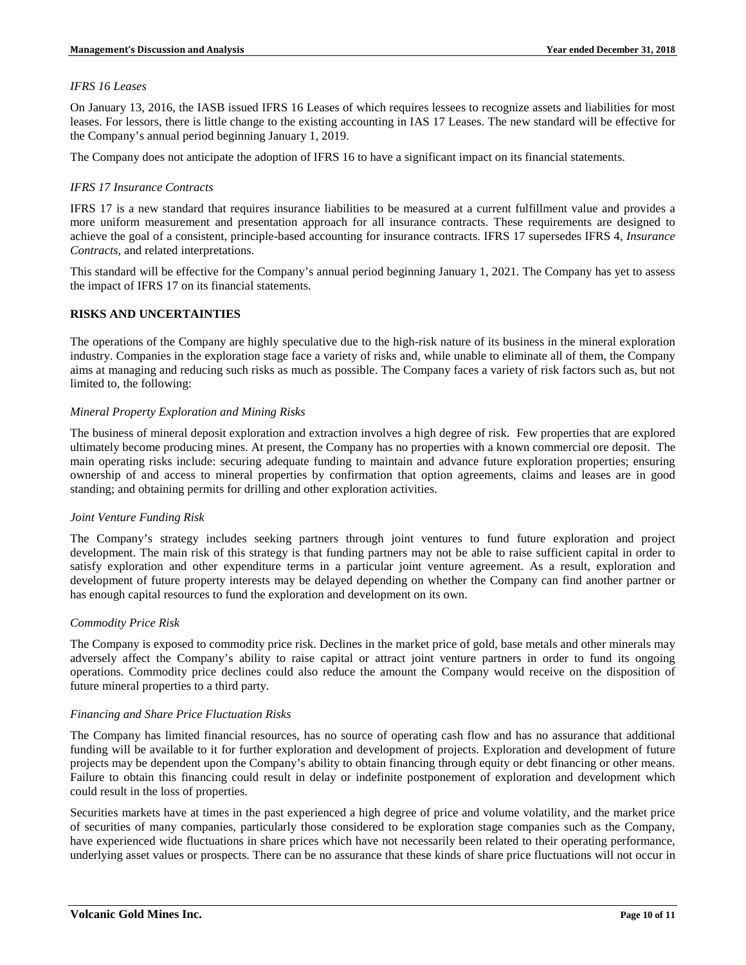### *IFRS 16 Leases*

On January 13, 2016, the IASB issued IFRS 16 Leases of which requires lessees to recognize assets and liabilities for most leases. For lessors, there is little change to the existing accounting in IAS 17 Leases. The new standard will be effective for the Company's annual period beginning January 1, 2019.

The Company does not anticipate the adoption of IFRS 16 to have a significant impact on its financial statements.

# *IFRS 17 Insurance Contracts*

IFRS 17 is a new standard that requires insurance liabilities to be measured at a current fulfillment value and provides a more uniform measurement and presentation approach for all insurance contracts. These requirements are designed to achieve the goal of a consistent, principle-based accounting for insurance contracts. IFRS 17 supersedes IFRS 4, *Insurance Contracts*, and related interpretations.

This standard will be effective for the Company's annual period beginning January 1, 2021. The Company has yet to assess the impact of IFRS 17 on its financial statements.

# **RISKS AND UNCERTAINTIES**

The operations of the Company are highly speculative due to the high-risk nature of its business in the mineral exploration industry. Companies in the exploration stage face a variety of risks and, while unable to eliminate all of them, the Company aims at managing and reducing such risks as much as possible. The Company faces a variety of risk factors such as, but not limited to, the following:

### *Mineral Property Exploration and Mining Risks*

The business of mineral deposit exploration and extraction involves a high degree of risk. Few properties that are explored ultimately become producing mines. At present, the Company has no properties with a known commercial ore deposit. The main operating risks include: securing adequate funding to maintain and advance future exploration properties; ensuring ownership of and access to mineral properties by confirmation that option agreements, claims and leases are in good standing; and obtaining permits for drilling and other exploration activities.

#### *Joint Venture Funding Risk*

The Company's strategy includes seeking partners through joint ventures to fund future exploration and project development. The main risk of this strategy is that funding partners may not be able to raise sufficient capital in order to satisfy exploration and other expenditure terms in a particular joint venture agreement. As a result, exploration and development of future property interests may be delayed depending on whether the Company can find another partner or has enough capital resources to fund the exploration and development on its own.

#### *Commodity Price Risk*

The Company is exposed to commodity price risk. Declines in the market price of gold, base metals and other minerals may adversely affect the Company's ability to raise capital or attract joint venture partners in order to fund its ongoing operations. Commodity price declines could also reduce the amount the Company would receive on the disposition of future mineral properties to a third party.

#### *Financing and Share Price Fluctuation Risks*

The Company has limited financial resources, has no source of operating cash flow and has no assurance that additional funding will be available to it for further exploration and development of projects. Exploration and development of future projects may be dependent upon the Company's ability to obtain financing through equity or debt financing or other means. Failure to obtain this financing could result in delay or indefinite postponement of exploration and development which could result in the loss of properties.

Securities markets have at times in the past experienced a high degree of price and volume volatility, and the market price of securities of many companies, particularly those considered to be exploration stage companies such as the Company, have experienced wide fluctuations in share prices which have not necessarily been related to their operating performance, underlying asset values or prospects. There can be no assurance that these kinds of share price fluctuations will not occur in